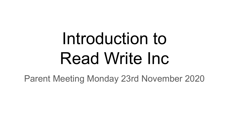# Introduction to Read Write Inc

Parent Meeting Monday 23rd November 2020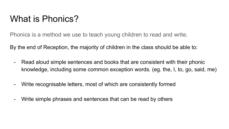### What is Phonics?

Phonics is a method we use to teach young children to read and write.

By the end of Reception, the majority of children in the class should be able to:

- Read aloud simple sentences and books that are consistent with their phonic knowledge, including some common exception words. (eg. the, I, to, go, said, me)
- Write recognisable letters, most of which are consistently formed
- Write simple phrases and sentences that can be read by others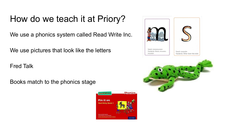### How do we teach it at Priory?

We use a phonics system called Read Write Inc.

We use pictures that look like the letters

Fred Talk

Books match to the phonics stage





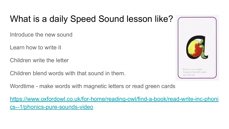## What is a daily Speed Sound lesson like?

Introduce the new sound

Learn how to write it

Children write the letter

Children blend words with that sound in them.

Wordtime - make words with magnetic letters or read green cards

[https://www.oxfordowl.co.uk/for-home/reading-owl/find-a-book/read-write-inc-phoni](https://www.oxfordowl.co.uk/for-home/reading-owl/find-a-book/read-write-inc-phonics--1/phonics-pure-sounds-video) [cs--1/phonics-pure-sounds-video](https://www.oxfordowl.co.uk/for-home/reading-owl/find-a-book/read-write-inc-phonics--1/phonics-pure-sounds-video)

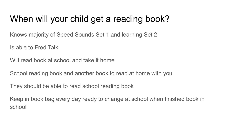## When will your child get a reading book?

Knows majority of Speed Sounds Set 1 and learning Set 2

Is able to Fred Talk

Will read book at school and take it home

School reading book and another book to read at home with you

They should be able to read school reading book

Keep in book bag every day ready to change at school when finished book in school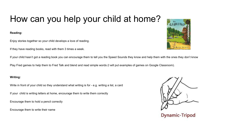# How can you help your child at home?

**Reading:** 

Enjoy stories together so your child develops a love of reading.

If they have reading books, read with them 3 times a week.

If your child hasn't got a reading book you can encourage them to tell you the Speed Sounds they know and help them with the ones they don't know

Play Fred games to help them to Fred Talk and blend and read simple words (I will put examples of games on Google Classroom).

### **Writing:**

Write in front of your child so they understand what writing is for - e.g. writing a list, a card

If your child is writing letters at home, encourage them to write them correctly

Encourage them to hold a pencil correctly

Encourage them to write their name







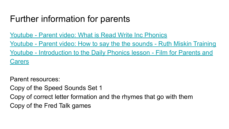### Further information for parents

[Youtube - Parent video: What is Read Write Inc Phonics](https://www.youtube.com/watch?v=sjlPILhk7bQ)

[Youtube - Parent video: How to say the the sounds - Ruth Miskin Training](https://www.youtube.com/watch?v=TkXcabDUg7Q&t=16s)

[Youtube - Introduction to the Daily Phonics lesson - Film for Parents and](https://www.youtube.com/watch?v=lFyDwUKSw7Y) [Carers](https://www.youtube.com/watch?v=lFyDwUKSw7Y)

Parent resources:

Copy of the Speed Sounds Set 1

Copy of correct letter formation and the rhymes that go with them Copy of the Fred Talk games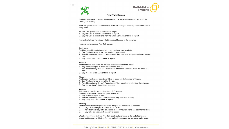



#### **Fred Talk Games**

Fred can only speak in sounds. He says m-a-t. He helps children sound out words for reading and spelling.

Fred Talk games are a fun way of using Fred Talk throughout the day to teach children to orally blend.

All Fred Talk games need to follow these steps:

- 1. Say the word in sounds. Ask children to repeat.
- 2. Say the word in sounds and then the whole word. Ask children to repeat.

Remember to Fred Talk single syllabic words at the end of the sentence.

Here are some example Fred Talk games:

#### **Body parts**

- Fred instructs children to touch their nose, hands on your head etc.
- 1. Say 'Fred wants you to put your hands on your h-ea-d'.
- 2. Ask children to say 'h-ea-d'. Pause to see if they can blend and put their hands on their head.
- 3. Say 'h-ea-d, head', Ask children to repeat.

#### **Animals**

Fred names an animal and the children make the noise of that animal.

- 1. Say 'Fred wants you to make the noise of a h-or-se'.
- 2. Ask children to say 'h-or-se'. Pause to see if they can blend and make the noise of a horse.
- 3. Say 'h-or-se, horse'. Ask children to repeat.

#### **Fingers**

Fred says a number and asks the children to show him that number of fingers.

- 1. Say 'Fred wants you to show him th-r-ee'.
- 2. Ask children to say 'th-r-ee'. Pause to see if they can blend and hold up three fingers.
- 3. Say 'th-r-ee, three'. Ask children to repeat.

#### **Actions**

This game is ideal for outdoor learning or P.E. lessons. Fred instructs the children to clap, jump, dance etc.

- 1. Say 'Fred wants you to h-o-p'.
- 2. Ask children to say 'h-o-p'. Pause to see if they can blend and hop.
- 3. Say 'h-o-p, hop'. Ask children to repeat.

#### Pointing

Fred asks the children to point to various things in the classroom or outdoors.

- Say 'Fred wants you to point to the 'c-l-o-ck'.  $1.$
- 2. Ask children to say 'c-l-o-ck'. Pause to see if they can blend and point to the clock.
- $3.$ Say 'c-I-o-ck, clock'. Ask children to repeat.

We also recommend that you Fred Talk single syllabic words at the end of sentences throughout the day e.g. it is time for I-u-n-ch lunch, come and put on your c-oa-t-s coats.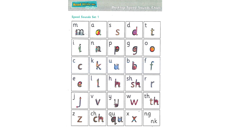

### Speed Sounds Set 1